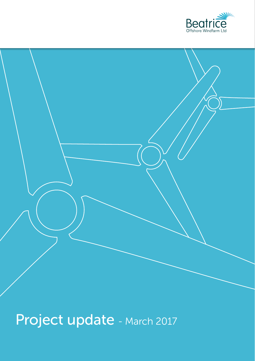



Project update - March 2017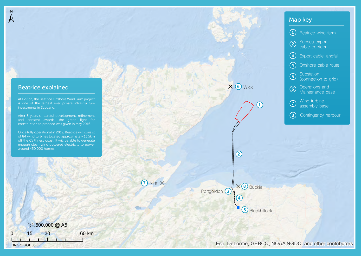### Beatrice explained

 $\overline{N}$ 

At £2.6bn, the Beatrice Offshore Wind Farm project is one of the largest ever private infrastructure investments in Scotland.

After 8 years of careful development, refinement and consent awards, the green light for construction to proceed was given in May 2016.

Once fully operational in 2019, Beatrice will consist of 84 wind turbines located approximately 13.5km off the Caithness coast. It will be able to generate enough clean wind powered electricity to power around 450,000 homes.

0 15 30 60 km 1:1,500,000 @ A5 BNG/OSGB36

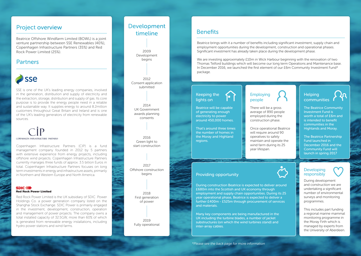Beatrice Offshore Windfarm Limited (BOWL) is a joint venture partnership between SSE Renewables (40%), Copenhagen Infrastructure Partners (35%) and Red Rock Power Limited (25%).

#### **Partners**



SSE is one of the UK's leading energy companies, involved in the generation, distribution and supply of electricity and the extraction, storage, distribution and supply of gas. Its core purpose is to provide the energy people need in a reliable and sustainable way. It supplies energy to around 8.2million customers throughout Great Britain and Ireland and is one of the UK's leading generators of electricity from renewable sources.

# COPENHAGEN INFRASTRUCTURE PARTNERS

Copenhagen Infrastructure Partners (CIP) is a fund management company founded in 2012 by 5 partners with extensive experience from energy projects, including offshore wind projects. Copenhagen Infrastructure Partners currently manages three funds of approx. 3.5 billion Euros in total. Copenhagen Infrastructure Partners focuses on long term investments in energy and infrastructure assets, primarily in Northern and Western Europe and North America.

#### SDIC 44 **Red Rock Power Limited**

Red Rock Power Limited is the UK subsidiary of SDIC Power Holdings Co. a power generation company listed on the Shanghai Stock Exchange. SDIC Power is primarily engaged in the investment, development, construction, operation and management of power projects. The company owns a total installed capacity of 32.5GW, more than 60% of which is generated from renewable energy installations, including hydro power stations and wind farms.

#### Project overview **Benefits** Benefits **Benefits** Development timeline

2009 Development begins

2012 Consent application submitted

2014 UK Government awards planning consents

2016 Green light to start construction

2017 Offshore construction begins

> 2018 First generation of power

2019 Fully operational

Beatrice brings with it a number of benefits including significant investment, supply chain and employment opportunities during the development, construction and operational phases. Significant investment has already taken place during the development phase.

We are investing approximately £10m in Wick Harbour beginning with the renovation of two Thomas Telford buildings which will become our long term Operations and Maintenance base. In December 2016, we launched the first element of our £6m Community Investment Fund\* package.

#### Keeping the lights on

Beatrice will be capable of generating enough electricity to power around 450,000 homes.

<u> 1</u>

That's around three times the number of homes in the Moray and Highland regions.

#### **Employing** people

There will be a gross average of 890 people employed during the construction phase.

Once operational Beatrice will require around 90 operatives to safely maintain and operate the wind farm during its 25 year lifespan.

#### **Helping** communities

The Beatrice Community Investment Fund is worth a total of £6m and is intended to benefit communities in the Highlands and Moray.

The Beatrice Partnership Fund launched in December 2016 and the Community Fund will launch in spring 2017

#### Providing opportunity

During construction Beatrice is expected to deliver around £680m into the Scottish and UK economy through employment and supply chain opportunities. During its 25 year operational phase, Beatrice is expected to deliver a further £400m - £525m through procurement of services and materials.

Many key components are being manufactured in the UK including the turbine blades, a number of jacket substructures (on which the wind turbines stand) and inter-array cables.

\*Please see the back page for more information



During development and construction we are undertaking a significant number of environmental surveys and monitoring programmes.

This includes part funding a regional marine mammal monitoring programme in the Moray Firth which is managed by experts from the University of Aberdeen.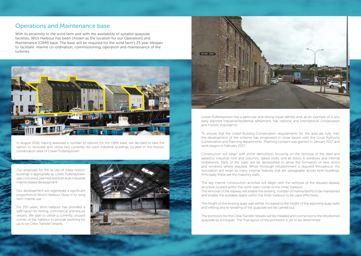## Operations and Maintenance base

With its proximity to the wind farm and with the availability of suitable quayside facilities, Wick Harbour has been chosen as the location for our Operations and Maintenance (O&M) base. The base will be required for the wind farm's 25 year lifespan to facilitate marine co-ordination, commissioning, operation and maintenance of the turbines.



In August 2016, having assessed a number of options for the O&M base, we decided to take the option to renovate and utilise two currently dis-used industrial buildings located in the historic conservation area of Lower Pulteneytown.

Our proposals for the re-use of these historic buildings is appropriate as Lower Pulteneytown was conceived, planned and built as an industrial marine related development.

Our development will regenerate a significant proportion of Wick's Harbour Quay in to long term marine use.

For 150 years, Wick harbour has provided a safe haven for fishing, commercial and leisure vessels. We plan to utilise a currently unused corner of the harbour to provide berthing for up to six Crew Transfer Vessels.





Lower Pulteneytown has a particular and strong visual identity and, as an example of a very early planned industrial/residential settlement, has national and international conservation and historic importance.

To ensure that the Listed Building Conservation requirements for the area are fully met, the development of the scheme has progressed in close liaison with the Local Authority Conservation and Planning departments. Planning consent was granted in January 2017 and work begins in February 2017.

Construction will begin with some demolition, focusing on the removal of the steel and asbestos industrial roof and columns, slated roofs, and all doors & windows and internal timberwork. Parts of the walls will be demolished to allow the formation of new doors and windows where required. Whilst thorough refurbishment is required throughout, the renovation will retain as many original features that are salvageable across both buildings. Principally these are the masonry walls.

The key marine construction activities will begin with the removal of the disused slipway structure located within the north west corner of the Inner Harbour. The removal of the slipway will enable the existing number of marina berths to be maintained and enable the available space within the Inner Harbour to be used effectively.

The height of the existing quay wall will be increased to the height of the adjoining quay walls and infilling and re-levelling of the quayside will be carried out.

The pontoons for the Crew Transfer Vessels will be installed and connected to the refurbished quayside by a linkspan. The final layout of the pontoons is yet to be determined.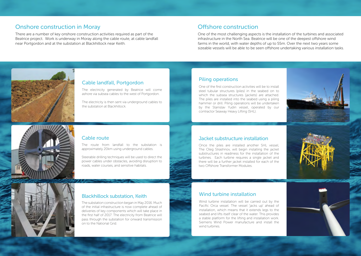# Onshore construction in Moray and a series of the Construction of Construction

There are a number of key onshore construction activities required as part of the Beatrice project. Work is underway in Moray along the cable route, at cable landfall near Portgordon and at the substation at Blackhillock near Keith.

One of the most challenging aspects is the installation of the turbines and associated infrastructure in the North Sea. Beatrice will be one of the deepest offshore wind farms in the world, with water depths of up to 55m. Over the next two years some sizeable vessels will be able to be seen offshore undertaking various installation tasks.



#### Cable landfall, Portgordon

The electricity generated by Beatrice will come ashore via subsea cables to the west of Portgordon.

The electricity is then sent via underground cables to the substation at Blackhillock.

#### Piling operations

One of the first construction activities will be to install steel tubular structures (piles) in the seabed on to which the subsea structures (jackets) are attached. The piles are installed into the seabed using a piling hammer or drill. Piling operations will be undertaken by the Stanislav Yudin vessel, operated by our contractor Seaway Heavy Lifting (SHL).





#### Cable route

The route from landfall to the substation is approximately 20km using underground cables.

Steerable drilling techniques will be used to direct the power cables under obstacles, avoiding disruption to roads, water courses, and sensitive habitats.

#### Jacket substructure installation

Once the piles are installed another SHL vessel, The Oleg Strashnov, will begin installing the jacket substructures in readiness for the installation of the turbines. Each turbine requires a single jacket and there will be a further jacket installed for each of the two Offshore Transformer Modules.



#### Blackhillock substation, Keith

The substation construction began in May 2016. Much of the initial infrastructure is now complete ahead of deliveries of key components which will take place in the first half of 2017. The electricity from Beatrice will pass through the substation for onward transmission on to the National Grid.

#### Wind turbine installation

Wind turbine installation will be carried out by the Pacific Orca vessel. The vessel 'jacks up' ahead of installation, which means that it extends legs to the seabed and lifts itself clear of the water. This provides a stable platform for the lifting and installation work. Siemens Wind Power manufacture and install the wind turbines.

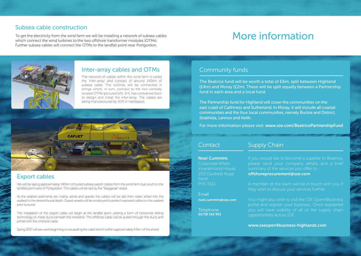### Subsea cable construction

To get the electricity from the wind farm we will be installing a network of subsea cables which connect the wind turbines to the two offshore transformer modules (OTMs). Further subsea cables will connect the OTMs to the landfall point near Portgordon.

# More information



### Inter-array cables and OTMs

The network of cables within the wind farm is called the 'inter-array' and consists of around 140km of subsea cable. The turbines will be connected in strings which, in turn, connect to the two centrally located OTMs (pictured left). SHL has contracted Siem to design and install the inter-array. The cables are being manufactured by JDR in Hartlepool.



# Export cables

We will be laying approximately 140km of buried subsea export cables from the wind farm due south to the landfall point west of Portgordon. The cables will be laid by the 'Skaggerak' vessel.

As the seabed sediments are mainly sands and gravels the cables will be laid then water jetted into the seabed to the desired burial depth. Guard vessels will be employed to protect exposed cables on the seabed prior to burial.

The installation of the export cable will begin at the landfall point utilising a form of horizontal drilling technology to install ducts beneath the shoreline. The offshore cable will be pulled through the ducts and joined with the onshore cable.

Spring 2017 will see work beginning on excavating the cable trench (within approximately 4.5km of the shore).

## Community funds

The Beatrice fund will be worth a total of £6m, split between Highland (£4m) and Moray (£2m). These will be split equally between a Partnership fund in each area and a local fund.

The Partnership fund for Highland will cover the communities on the east coast of Caithness and Sutherland. In Moray, it will include all coastal communities and the four local communities, namely Buckie and District, Strathisla, Lennox and Keith.

For more information please visit: www.sse.com/BeatricePartnershipFund

#### **Contact**

#### Supply Chain

Noel Cummins

Corporate Affairs Inveralmond House 200 Dunkeld Road PH1 3AQ

Email noel.cummins@sse.com

**Telephone** 01738 516 901

If you would like to become a supplier to Beatrice, please send your company details and a brief summary of the services you offer to: offshoreprocurement@sse.com

A member of the team will be in touch with you if they wish to discuss your services further.

You might also wish to visit the SSE Open4Business portal and register your business. Once registered you will have visibility of all of the supply chain opportunities across SSE.

www.sseopen4business-highlands.com